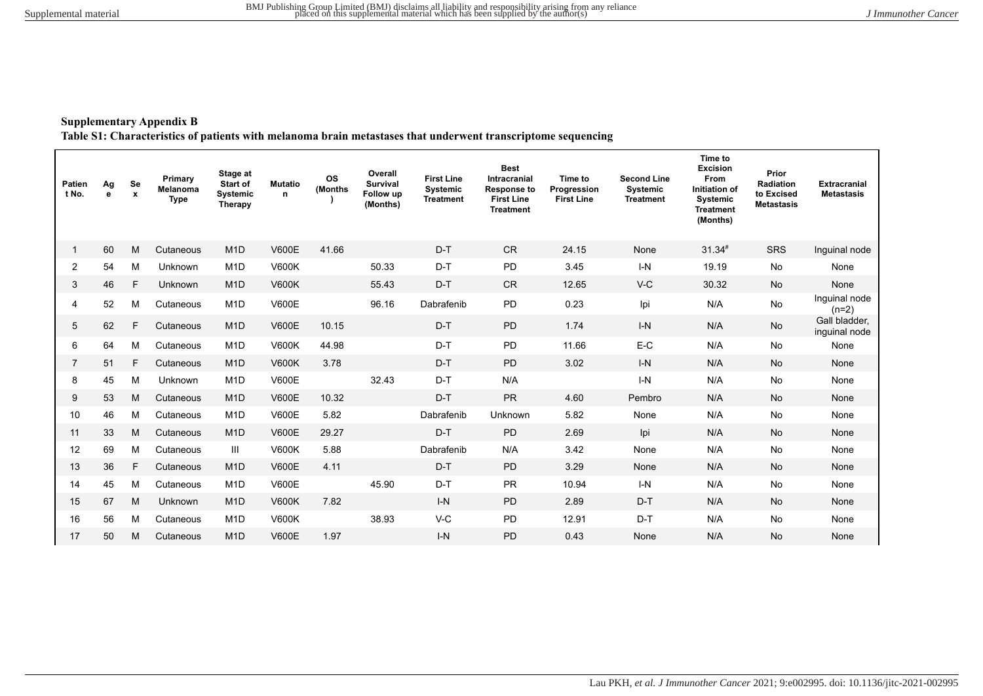**Supplementary Appendix B**

**Table S1: Characteristics of patients with melanoma brain metastases that underwent transcriptome sequencing**

| Patien<br>t No. | Ag<br>e | Se<br>$\pmb{\mathsf{x}}$ | Primary<br>Melanoma<br><b>Type</b> | Stage at<br>Start of<br><b>Systemic</b><br>Therapy | <b>Mutatio</b><br>n | <b>OS</b><br>(Months | Overall<br><b>Survival</b><br>Follow up<br>(Months) | <b>First Line</b><br>Systemic<br><b>Treatment</b> | <b>Best</b><br><b>Intracranial</b><br><b>Response to</b><br><b>First Line</b><br><b>Treatment</b> | Time to<br>Progression<br><b>First Line</b> | <b>Second Line</b><br><b>Systemic</b><br><b>Treatment</b> | Time to<br><b>Excision</b><br><b>From</b><br>Initiation of<br>Systemic<br><b>Treatment</b><br>(Months) | Prior<br>Radiation<br>to Excised<br><b>Metastasis</b> | <b>Extracranial</b><br><b>Metastasis</b> |
|-----------------|---------|--------------------------|------------------------------------|----------------------------------------------------|---------------------|----------------------|-----------------------------------------------------|---------------------------------------------------|---------------------------------------------------------------------------------------------------|---------------------------------------------|-----------------------------------------------------------|--------------------------------------------------------------------------------------------------------|-------------------------------------------------------|------------------------------------------|
| $\mathbf{1}$    | 60      | M                        | Cutaneous                          | M <sub>1</sub> D                                   | <b>V600E</b>        | 41.66                |                                                     | $D-T$                                             | <b>CR</b>                                                                                         | 24.15                                       | None                                                      | $31.34*$                                                                                               | <b>SRS</b>                                            | Inguinal node                            |
| $\overline{2}$  | 54      | M                        | Unknown                            | M <sub>1</sub> D                                   | <b>V600K</b>        |                      | 50.33                                               | $D-T$                                             | <b>PD</b>                                                                                         | 3.45                                        | $I-N$                                                     | 19.19                                                                                                  | No                                                    | None                                     |
| 3               | 46      | F                        | Unknown                            | M <sub>1</sub> D                                   | <b>V600K</b>        |                      | 55.43                                               | $D-T$                                             | <b>CR</b>                                                                                         | 12.65                                       | $V-C$                                                     | 30.32                                                                                                  | No                                                    | None                                     |
| 4               | 52      | M                        | Cutaneous                          | M <sub>1</sub> D                                   | <b>V600E</b>        |                      | 96.16                                               | Dabrafenib                                        | PD                                                                                                | 0.23                                        | Ipi                                                       | N/A                                                                                                    | No                                                    | Inquinal node<br>$(n=2)$                 |
| 5               | 62      | F                        | Cutaneous                          | M <sub>1</sub> D                                   | <b>V600E</b>        | 10.15                |                                                     | $D-T$                                             | <b>PD</b>                                                                                         | 1.74                                        | $I-N$                                                     | N/A                                                                                                    | No                                                    | Gall bladder,<br>inguinal node           |
| 6               | 64      | M                        | Cutaneous                          | M <sub>1</sub> D                                   | <b>V600K</b>        | 44.98                |                                                     | $D-T$                                             | <b>PD</b>                                                                                         | 11.66                                       | $E-C$                                                     | N/A                                                                                                    | <b>No</b>                                             | None                                     |
| $\overline{7}$  | 51      | F                        | Cutaneous                          | M <sub>1</sub> D                                   | <b>V600K</b>        | 3.78                 |                                                     | $D-T$                                             | <b>PD</b>                                                                                         | 3.02                                        | $I-N$                                                     | N/A                                                                                                    | No                                                    | None                                     |
| 8               | 45      | M                        | Unknown                            | M <sub>1</sub> D                                   | <b>V600E</b>        |                      | 32.43                                               | $D-T$                                             | N/A                                                                                               |                                             | $I-N$                                                     | N/A                                                                                                    | No                                                    | None                                     |
| 9               | 53      | M                        | Cutaneous                          | M <sub>1</sub> D                                   | <b>V600E</b>        | 10.32                |                                                     | $D-T$                                             | <b>PR</b>                                                                                         | 4.60                                        | Pembro                                                    | N/A                                                                                                    | No                                                    | None                                     |
| 10              | 46      | M                        | Cutaneous                          | M <sub>1</sub> D                                   | <b>V600E</b>        | 5.82                 |                                                     | Dabrafenib                                        | Unknown                                                                                           | 5.82                                        | None                                                      | N/A                                                                                                    | No                                                    | None                                     |
| 11              | 33      | M                        | Cutaneous                          | M <sub>1</sub> D                                   | <b>V600E</b>        | 29.27                |                                                     | $D-T$                                             | <b>PD</b>                                                                                         | 2.69                                        | Ipi                                                       | N/A                                                                                                    | No                                                    | None                                     |
| 12              | 69      | M                        | Cutaneous                          | Ш                                                  | <b>V600K</b>        | 5.88                 |                                                     | Dabrafenib                                        | N/A                                                                                               | 3.42                                        | None                                                      | N/A                                                                                                    | No                                                    | None                                     |
| 13              | 36      | F                        | Cutaneous                          | M <sub>1</sub> D                                   | <b>V600E</b>        | 4.11                 |                                                     | $D-T$                                             | <b>PD</b>                                                                                         | 3.29                                        | None                                                      | N/A                                                                                                    | No                                                    | None                                     |
| 14              | 45      | M                        | Cutaneous                          | M <sub>1</sub> D                                   | <b>V600E</b>        |                      | 45.90                                               | $D-T$                                             | <b>PR</b>                                                                                         | 10.94                                       | $I-N$                                                     | N/A                                                                                                    | No                                                    | None                                     |
| 15              | 67      | M                        | Unknown                            | M <sub>1</sub> D                                   | <b>V600K</b>        | 7.82                 |                                                     | $I-N$                                             | <b>PD</b>                                                                                         | 2.89                                        | $D-T$                                                     | N/A                                                                                                    | No                                                    | None                                     |
| 16              | 56      | M                        | Cutaneous                          | M <sub>1</sub> D                                   | <b>V600K</b>        |                      | 38.93                                               | $V-C$                                             | <b>PD</b>                                                                                         | 12.91                                       | $D-T$                                                     | N/A                                                                                                    | No                                                    | None                                     |
| 17              | 50      | М                        | Cutaneous                          | M <sub>1</sub> D                                   | <b>V600E</b>        | 1.97                 |                                                     | $I-N$                                             | <b>PD</b>                                                                                         | 0.43                                        | None                                                      | N/A                                                                                                    | No                                                    | None                                     |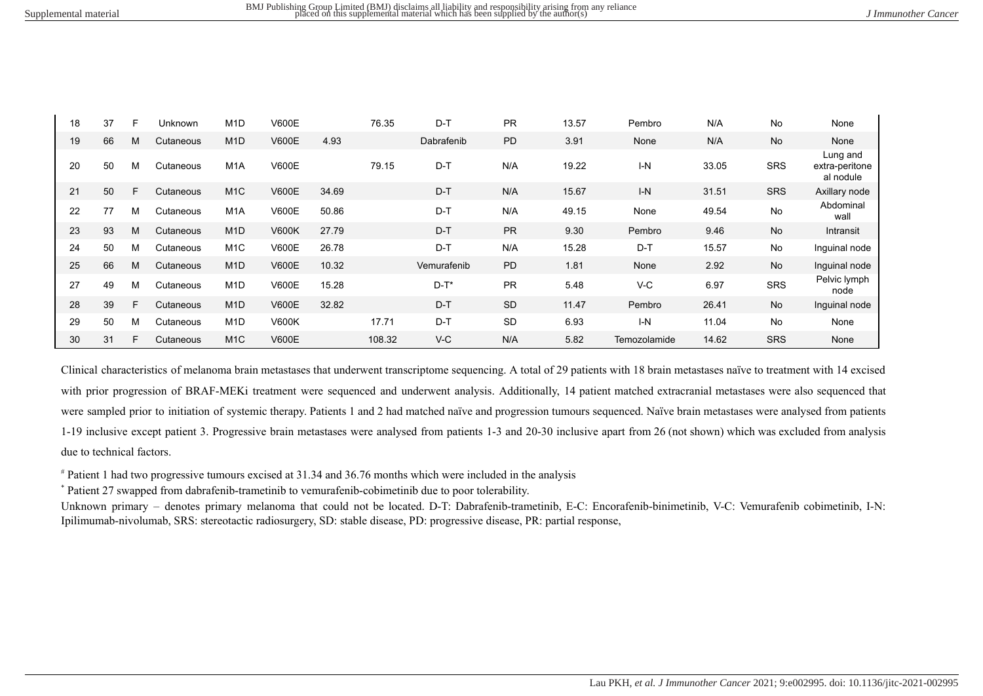$\blacksquare$ 

 $\mathbf{r}$ 

| 18 | 37 | F | Unknown   | M <sub>1</sub> D | V600E        |       | 76.35  | D-T         | <b>PR</b> | 13.57 | Pembro       | N/A   | No         | None                                    |
|----|----|---|-----------|------------------|--------------|-------|--------|-------------|-----------|-------|--------------|-------|------------|-----------------------------------------|
| 19 | 66 | M | Cutaneous | M <sub>1</sub> D | <b>V600E</b> | 4.93  |        | Dabrafenib  | <b>PD</b> | 3.91  | None         | N/A   | No         | None                                    |
| 20 | 50 | м | Cutaneous | M <sub>1</sub> A | <b>V600E</b> |       | 79.15  | D-T         | N/A       | 19.22 | $I-N$        | 33.05 | <b>SRS</b> | Lung and<br>extra-peritone<br>al nodule |
| 21 | 50 | F | Cutaneous | M <sub>1</sub> C | <b>V600E</b> | 34.69 |        | $D-T$       | N/A       | 15.67 | $I-N$        | 31.51 | <b>SRS</b> | Axillary node                           |
| 22 | 77 | M | Cutaneous | M <sub>1</sub> A | <b>V600E</b> | 50.86 |        | $D-T$       | N/A       | 49.15 | None         | 49.54 | <b>No</b>  | Abdominal<br>wall                       |
| 23 | 93 | M | Cutaneous | M <sub>1</sub> D | <b>V600K</b> | 27.79 |        | $D-T$       | <b>PR</b> | 9.30  | Pembro       | 9.46  | <b>No</b>  | Intransit                               |
| 24 | 50 | M | Cutaneous | M <sub>1</sub> C | <b>V600E</b> | 26.78 |        | $D-T$       | N/A       | 15.28 | $D-T$        | 15.57 | No         | Inguinal node                           |
| 25 | 66 | M | Cutaneous | M <sub>1</sub> D | <b>V600E</b> | 10.32 |        | Vemurafenib | PD        | 1.81  | None         | 2.92  | No         | Inguinal node                           |
| 27 | 49 | M | Cutaneous | M <sub>1</sub> D | <b>V600E</b> | 15.28 |        | $D-T^*$     | <b>PR</b> | 5.48  | V-C          | 6.97  | <b>SRS</b> | Pelvic lymph<br>node                    |
| 28 | 39 | F | Cutaneous | M <sub>1</sub> D | <b>V600E</b> | 32.82 |        | $D-T$       | <b>SD</b> | 11.47 | Pembro       | 26.41 | No         | Inguinal node                           |
| 29 | 50 | м | Cutaneous | M <sub>1</sub> D | <b>V600K</b> |       | 17.71  | $D-T$       | <b>SD</b> | 6.93  | $I-N$        | 11.04 | <b>No</b>  | None                                    |
| 30 | 31 | F | Cutaneous | M <sub>1</sub> C | <b>V600E</b> |       | 108.32 | $V-C$       | N/A       | 5.82  | Temozolamide | 14.62 | <b>SRS</b> | None                                    |

Clinical characteristics of melanoma brain metastases that underwent transcriptome sequencing. A total of 29 patients with 18 brain metastases naïve to treatment with 14 excised with prior progression of BRAF-MEKi treatment were sequenced and underwent analysis. Additionally, 14 patient matched extracranial metastases were also sequenced that were sampled prior to initiation of systemic therapy. Patients 1 and 2 had matched naïve and progression tumours sequenced. Naïve brain metastases were analysed from patients 1-19 inclusive except patient 3. Progressive brain metastases were analysed from patients 1-3 and 20-30 inclusive apart from 26 (not shown) which was excluded from analysis due to technical factors.

# Patient 1 had two progressive tumours excised at 31.34 and 36.76 months which were included in the analysis

\* Patient 27 swapped from dabrafenib-trametinib to vemurafenib-cobimetinib due to poor tolerability.

Unknown primary – denotes primary melanoma that could not be located. D-T: Dabrafenib-trametinib, E-C: Encorafenib-binimetinib, V-C: Vemurafenib cobimetinib, I-N: Ipilimumab-nivolumab, SRS: stereotactic radiosurgery, SD: stable disease, PD: progressive disease, PR: partial response,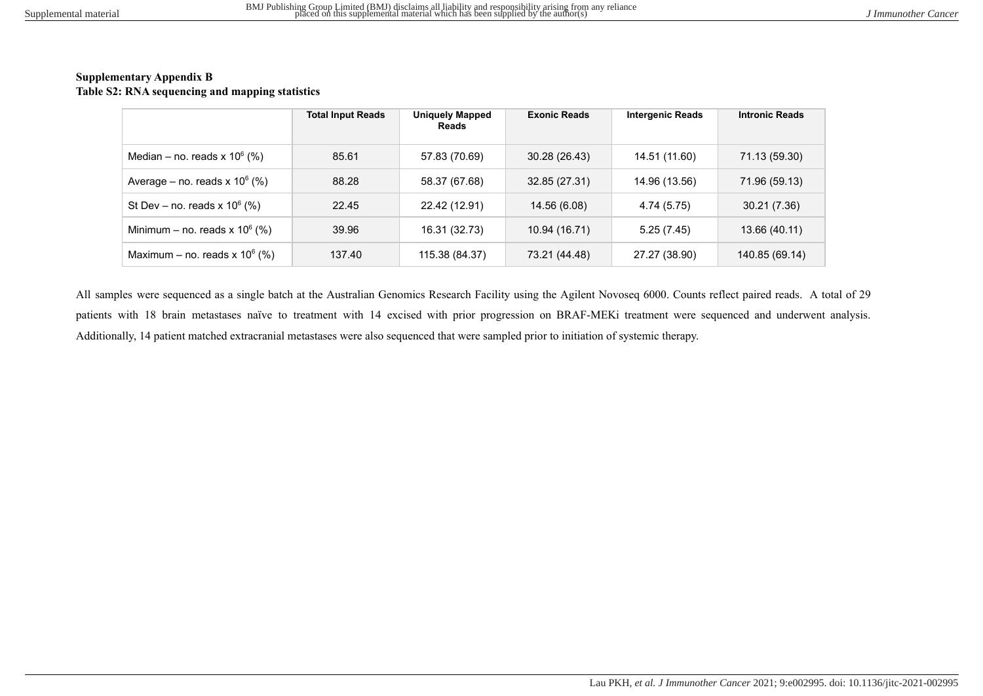#### **Supplementary Appendix B Table S2: RNA sequencing and mapping statistics**

|                                     | <b>Total Input Reads</b> | <b>Uniquely Mapped</b><br>Reads | <b>Exonic Reads</b> | <b>Intergenic Reads</b> | <b>Intronic Reads</b> |
|-------------------------------------|--------------------------|---------------------------------|---------------------|-------------------------|-----------------------|
| Median – no. reads $x 10^6$ (%)     | 85.61                    | 57.83 (70.69)                   | 30.28 (26.43)       | 14.51 (11.60)           | 71.13 (59.30)         |
| Average – no. reads $x$ 10 $^6$ (%) | 88.28                    | 58.37 (67.68)                   | 32.85 (27.31)       | 14.96 (13.56)           | 71.96 (59.13)         |
| St Dev – no. reads $x$ 10 $^6$ (%)  | 22.45                    | 22.42 (12.91)                   | 14.56 (6.08)        | 4.74 (5.75)             | 30.21 (7.36)          |
| Minimum – no. reads $x$ 10 $^6$ (%) | 39.96                    | 16.31 (32.73)                   | 10.94 (16.71)       | 5.25(7.45)              | 13.66 (40.11)         |
| Maximum – no. reads x $10^6$ (%)    | 137.40                   | 115.38 (84.37)                  | 73.21 (44.48)       | 27.27 (38.90)           | 140.85 (69.14)        |

All samples were sequenced as a single batch at the Australian Genomics Research Facility using the Agilent Novoseq 6000. Counts reflect paired reads. A total of 29 patients with 18 brain metastases naïve to treatment with 14 excised with prior progression on BRAF-MEKi treatment were sequenced and underwent analysis. Additionally, 14 patient matched extracranial metastases were also sequenced that were sampled prior to initiation of systemic therapy.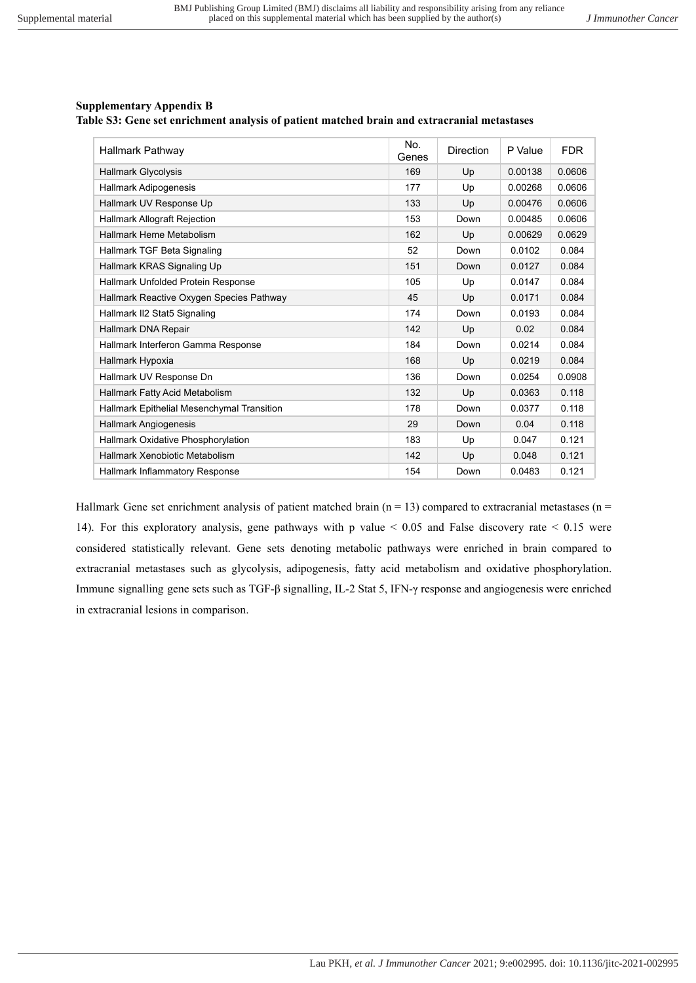## **Supplementary Appendix B**

**Table S3: Gene set enrichment analysis of patient matched brain and extracranial metastases**

| Hallmark Pathway                           | No.<br>Genes | <b>Direction</b> | P Value | <b>FDR</b> |
|--------------------------------------------|--------------|------------------|---------|------------|
| <b>Hallmark Glycolysis</b>                 | 169          | Up               | 0.00138 | 0.0606     |
| Hallmark Adipogenesis                      | 177          | Up               | 0.00268 | 0.0606     |
| Hallmark UV Response Up                    | 133          | Up               | 0.00476 | 0.0606     |
| <b>Hallmark Allograft Rejection</b>        | 153          | Down             | 0.00485 | 0.0606     |
| Hallmark Heme Metabolism                   | 162          | Up               | 0.00629 | 0.0629     |
| Hallmark TGF Beta Signaling                | 52           | Down             | 0.0102  | 0.084      |
| Hallmark KRAS Signaling Up                 | 151          | Down             | 0.0127  | 0.084      |
| Hallmark Unfolded Protein Response         | 105          | Up               | 0.0147  | 0.084      |
| Hallmark Reactive Oxygen Species Pathway   | 45           | Up               | 0.0171  | 0.084      |
| Hallmark II2 Stat5 Signaling               | 174          | Down             | 0.0193  | 0.084      |
| Hallmark DNA Repair                        | 142          | Up               | 0.02    | 0.084      |
| Hallmark Interferon Gamma Response         | 184          | Down             | 0.0214  | 0.084      |
| Hallmark Hypoxia                           | 168          | Up               | 0.0219  | 0.084      |
| Hallmark UV Response Dn                    | 136          | Down             | 0.0254  | 0.0908     |
| Hallmark Fatty Acid Metabolism             | 132          | Up               | 0.0363  | 0.118      |
| Hallmark Epithelial Mesenchymal Transition | 178          | Down             | 0.0377  | 0.118      |
| Hallmark Angiogenesis                      | 29           | Down             | 0.04    | 0.118      |
| Hallmark Oxidative Phosphorylation         | 183          | Up               | 0.047   | 0.121      |
| Hallmark Xenobiotic Metabolism             | 142          | Up               | 0.048   | 0.121      |
| <b>Hallmark Inflammatory Response</b>      | 154          | Down             | 0.0483  | 0.121      |

Hallmark Gene set enrichment analysis of patient matched brain  $(n = 13)$  compared to extracranial metastases  $(n = 13)$ 14). For this exploratory analysis, gene pathways with p value < 0.05 and False discovery rate < 0.15 were considered statistically relevant. Gene sets denoting metabolic pathways were enriched in brain compared to extracranial metastases such as glycolysis, adipogenesis, fatty acid metabolism and oxidative phosphorylation. Immune signalling gene sets such as TGF-β signalling, IL-2 Stat 5, IFN-γ response and angiogenesis were enriched in extracranial lesions in comparison.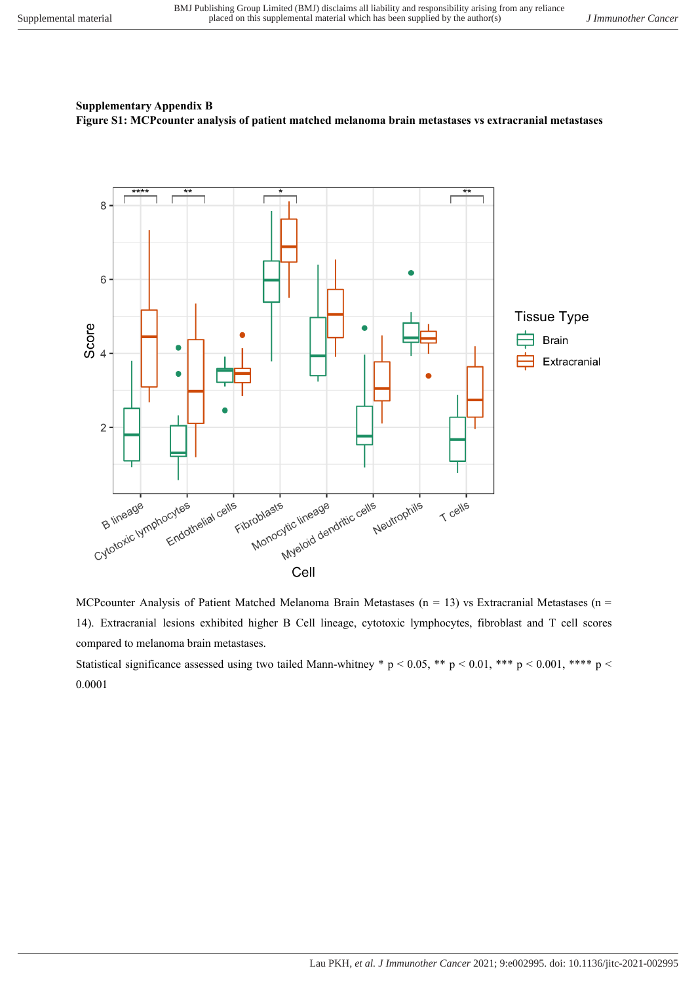## **Supplementary Appendix B Figure S1: MCPcounter analysis of patient matched melanoma brain metastases vs extracranial metastases**



MCPcounter Analysis of Patient Matched Melanoma Brain Metastases (n = 13) vs Extracranial Metastases (n = 14). Extracranial lesions exhibited higher B Cell lineage, cytotoxic lymphocytes, fibroblast and T cell scores compared to melanoma brain metastases.

Statistical significance assessed using two tailed Mann-whitney \* p < 0.05, \*\* p < 0.01, \*\*\* p < 0.001, \*\*\*\* p < 0.0001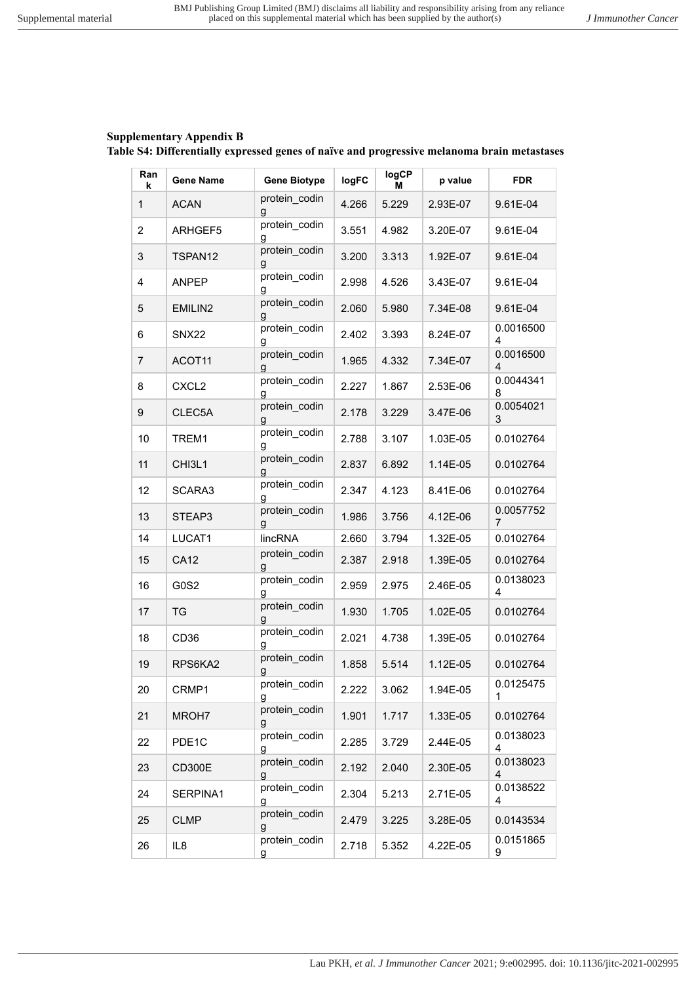# **Supplementary Appendix B Table S4: Differentially expressed genes of naïve and progressive melanoma brain metastases**

| Ran<br>k       | <b>Gene Name</b>  | <b>Gene Biotype</b> | logFC | logCP<br>м | p value  | <b>FDR</b>     |
|----------------|-------------------|---------------------|-------|------------|----------|----------------|
| $\mathbf{1}$   | <b>ACAN</b>       | protein codin<br>g  | 4.266 | 5.229      | 2.93E-07 | 9.61E-04       |
| $\overline{2}$ | ARHGEF5           | protein_codin<br>g  | 3.551 | 4.982      | 3.20E-07 | 9.61E-04       |
| 3              | TSPAN12           | protein_codin<br>g  | 3.200 | 3.313      | 1.92E-07 | 9.61E-04       |
| 4              | <b>ANPEP</b>      | protein_codin<br>g  | 2.998 | 4.526      | 3.43E-07 | 9.61E-04       |
| 5              | EMILIN2           | protein_codin<br>g  | 2.060 | 5.980      | 7.34E-08 | 9.61E-04       |
| 6              | <b>SNX22</b>      | protein_codin<br>g  | 2.402 | 3.393      | 8.24E-07 | 0.0016500<br>4 |
| 7              | ACOT11            | protein codin<br>g  | 1.965 | 4.332      | 7.34E-07 | 0.0016500<br>4 |
| 8              | CXCL <sub>2</sub> | protein codin<br>g  | 2.227 | 1.867      | 2.53E-06 | 0.0044341<br>8 |
| 9              | CLEC5A            | protein_codin<br>g  | 2.178 | 3.229      | 3.47E-06 | 0.0054021<br>3 |
| 10             | TREM1             | protein_codin<br>g  | 2.788 | 3.107      | 1.03E-05 | 0.0102764      |
| 11             | CHI3L1            | protein_codin<br>g  | 2.837 | 6.892      | 1.14E-05 | 0.0102764      |
| 12             | SCARA3            | protein_codin<br>g  | 2.347 | 4.123      | 8.41E-06 | 0.0102764      |
| 13             | STEAP3            | protein_codin<br>g  | 1.986 | 3.756      | 4.12E-06 | 0.0057752<br>7 |
| 14             | LUCAT1            | lincRNA             | 2.660 | 3.794      | 1.32E-05 | 0.0102764      |
| 15             | <b>CA12</b>       | protein_codin<br>g  | 2.387 | 2.918      | 1.39E-05 | 0.0102764      |
| 16             | G0S2              | protein_codin<br>g  | 2.959 | 2.975      | 2.46E-05 | 0.0138023<br>4 |
| 17             | TG                | protein_codin<br>g  | 1.930 | 1.705      | 1.02E-05 | 0.0102764      |
| 18             | CD36              | protein_codin<br>g  | 2.021 | 4.738      | 1.39E-05 | 0.0102764      |
| 19             | RPS6KA2           | protein_codin<br>g  | 1.858 | 5.514      | 1.12E-05 | 0.0102764      |
| 20             | CRMP1             | protein codin<br>g  | 2.222 | 3.062      | 1.94E-05 | 0.0125475<br>1 |
| 21             | MROH7             | protein codin<br>g  | 1.901 | 1.717      | 1.33E-05 | 0.0102764      |
| 22             | PDE1C             | protein_codin<br>g  | 2.285 | 3.729      | 2.44E-05 | 0.0138023<br>4 |
| 23             | <b>CD300E</b>     | protein_codin<br>g  | 2.192 | 2.040      | 2.30E-05 | 0.0138023<br>4 |
| 24             | SERPINA1          | protein_codin<br>g  | 2.304 | 5.213      | 2.71E-05 | 0.0138522<br>4 |
| 25             | <b>CLMP</b>       | protein_codin<br>g  | 2.479 | 3.225      | 3.28E-05 | 0.0143534      |
| 26             | IL8               | protein_codin<br>g  | 2.718 | 5.352      | 4.22E-05 | 0.0151865<br>9 |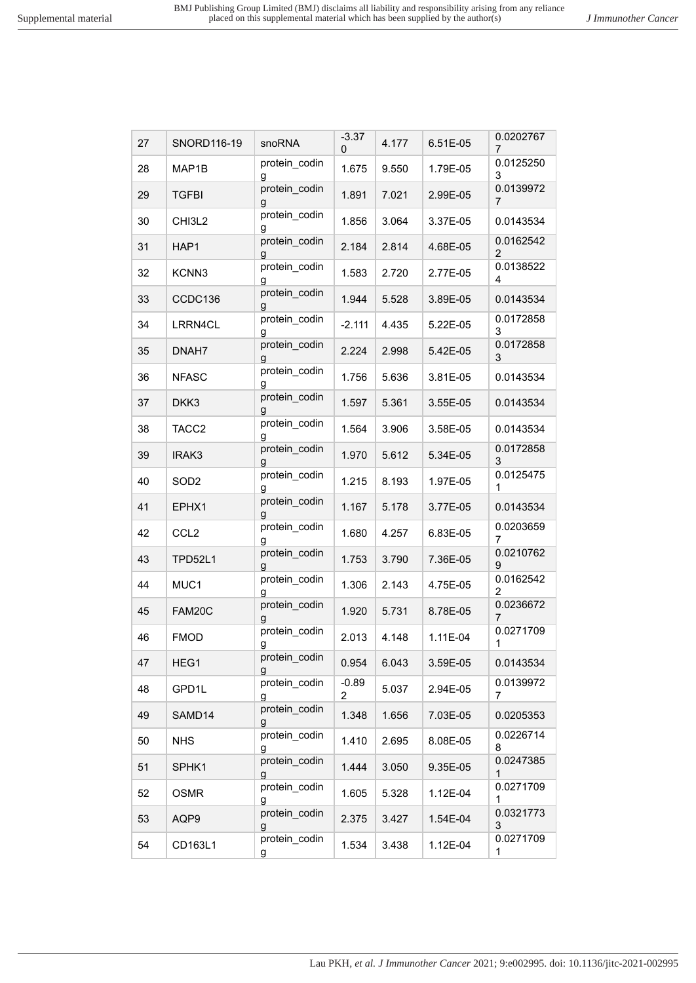| 27 | SNORD116-19       | snoRNA             | $-3.37$<br>0 | 4.177 | 6.51E-05 | 0.0202767<br>7              |
|----|-------------------|--------------------|--------------|-------|----------|-----------------------------|
| 28 | MAP1B             | protein_codin<br>g | 1.675        | 9.550 | 1.79E-05 | 0.0125250<br>3              |
| 29 | <b>TGFBI</b>      | protein_codin<br>g | 1.891        | 7.021 | 2.99E-05 | 0.0139972<br>7              |
| 30 | CHI3L2            | protein_codin<br>g | 1.856        | 3.064 | 3.37E-05 | 0.0143534                   |
| 31 | HAP1              | protein_codin<br>g | 2.184        | 2.814 | 4.68E-05 | 0.0162542<br>$\overline{2}$ |
| 32 | KCNN3             | protein_codin<br>g | 1.583        | 2.720 | 2.77E-05 | 0.0138522<br>4              |
| 33 | CCDC136           | protein_codin<br>g | 1.944        | 5.528 | 3.89E-05 | 0.0143534                   |
| 34 | LRRN4CL           | protein_codin<br>g | $-2.111$     | 4.435 | 5.22E-05 | 0.0172858<br>3              |
| 35 | DNAH7             | protein_codin<br>g | 2.224        | 2.998 | 5.42E-05 | 0.0172858<br>3              |
| 36 | <b>NFASC</b>      | protein_codin<br>g | 1.756        | 5.636 | 3.81E-05 | 0.0143534                   |
| 37 | DKK3              | protein_codin<br>g | 1.597        | 5.361 | 3.55E-05 | 0.0143534                   |
| 38 | TACC <sub>2</sub> | protein_codin<br>g | 1.564        | 3.906 | 3.58E-05 | 0.0143534                   |
| 39 | IRAK3             | protein_codin<br>g | 1.970        | 5.612 | 5.34E-05 | 0.0172858<br>3              |
| 40 | SOD <sub>2</sub>  | protein_codin<br>g | 1.215        | 8.193 | 1.97E-05 | 0.0125475<br>1              |
| 41 | EPHX1             | protein_codin<br>g | 1.167        | 5.178 | 3.77E-05 | 0.0143534                   |
| 42 | CCL <sub>2</sub>  | protein_codin<br>g | 1.680        | 4.257 | 6.83E-05 | 0.0203659<br>7              |
| 43 | <b>TPD52L1</b>    | protein_codin<br>g | 1.753        | 3.790 | 7.36E-05 | 0.0210762<br>9              |
| 44 | MUC1              | protein_codin<br>g | 1.306        | 2.143 | 4.75E-05 | 0.0162542<br>$\overline{2}$ |
| 45 | FAM20C            | protein_codin<br>g | 1.920        | 5.731 | 8.78E-05 | 0.0236672<br>7              |
| 46 | <b>FMOD</b>       | protein_codin<br>g | 2.013        | 4.148 | 1.11E-04 | 0.0271709<br>1              |
| 47 | HEG1              | protein codin<br>g | 0.954        | 6.043 | 3.59E-05 | 0.0143534                   |
| 48 | GPD1L             | protein_codin<br>g | $-0.89$<br>2 | 5.037 | 2.94E-05 | 0.0139972<br>7              |
| 49 | SAMD14            | protein_codin<br>g | 1.348        | 1.656 | 7.03E-05 | 0.0205353                   |
| 50 | <b>NHS</b>        | protein codin<br>g | 1.410        | 2.695 | 8.08E-05 | 0.0226714<br>8              |
| 51 | SPHK1             | protein_codin<br>g | 1.444        | 3.050 | 9.35E-05 | 0.0247385<br>1              |
| 52 | <b>OSMR</b>       | protein_codin<br>g | 1.605        | 5.328 | 1.12E-04 | 0.0271709<br>1              |
| 53 | AQP9              | protein_codin<br>g | 2.375        | 3.427 | 1.54E-04 | 0.0321773<br>3              |
| 54 | CD163L1           | protein_codin<br>g | 1.534        | 3.438 | 1.12E-04 | 0.0271709<br>1              |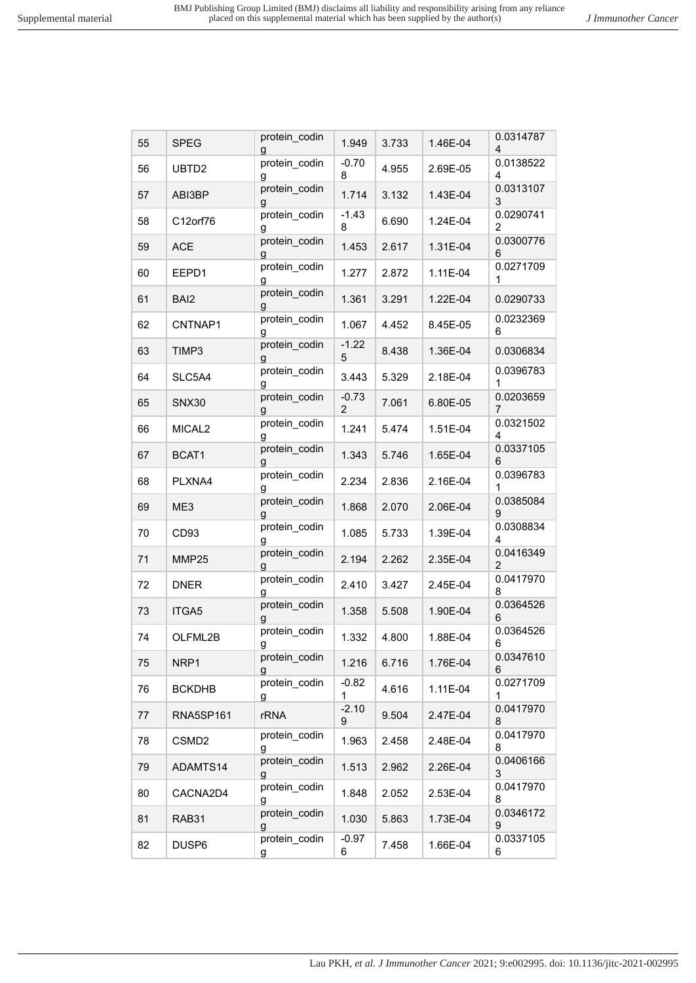| 55 | <b>SPEG</b>        | protein_codin      | 1.949                     | 3.733 | 1.46E-04 | 0.0314787<br>4              |
|----|--------------------|--------------------|---------------------------|-------|----------|-----------------------------|
| 56 | UBTD2              | protein_codin<br>g | $-0.70$<br>8              | 4.955 | 2.69E-05 | 0.0138522<br>4              |
| 57 | ABI3BP             | protein_codin<br>g | 1.714                     | 3.132 | 1.43E-04 | 0.0313107<br>3              |
| 58 | C12orf76           | protein codin<br>g | $-1.43$<br>8              | 6.690 | 1.24E-04 | 0.0290741<br>2              |
| 59 | <b>ACE</b>         | protein_codin<br>g | 1.453                     | 2.617 | 1.31E-04 | 0.0300776<br>6              |
| 60 | EEPD1              | protein_codin<br>g | 1.277                     | 2.872 | 1.11E-04 | 0.0271709<br>1              |
| 61 | BAI <sub>2</sub>   | protein_codin<br>g | 1.361                     | 3.291 | 1.22E-04 | 0.0290733                   |
| 62 | CNTNAP1            | protein_codin<br>g | 1.067                     | 4.452 | 8.45E-05 | 0.0232369<br>6              |
| 63 | TIMP3              | protein_codin<br>g | $-1.22$<br>5              | 8.438 | 1.36E-04 | 0.0306834                   |
| 64 | SLC5A4             | protein_codin<br>g | 3.443                     | 5.329 | 2.18E-04 | 0.0396783<br>1              |
| 65 | <b>SNX30</b>       | protein_codin<br>g | $-0.73$<br>$\overline{2}$ | 7.061 | 6.80E-05 | 0.0203659<br>7              |
| 66 | MICAL <sub>2</sub> | protein_codin<br>g | 1.241                     | 5.474 | 1.51E-04 | 0.0321502<br>4              |
| 67 | BCAT1              | protein codin<br>g | 1.343                     | 5.746 | 1.65E-04 | 0.0337105<br>6              |
| 68 | PLXNA4             | protein_codin<br>g | 2.234                     | 2.836 | 2.16E-04 | 0.0396783<br>1              |
| 69 | ME3                | protein_codin<br>g | 1.868                     | 2.070 | 2.06E-04 | 0.0385084<br>9              |
| 70 | CD93               | protein_codin<br>g | 1.085                     | 5.733 | 1.39E-04 | 0.0308834<br>4              |
| 71 | MMP25              | protein_codin<br>g | 2.194                     | 2.262 | 2.35E-04 | 0.0416349<br>$\overline{2}$ |
| 72 | <b>DNER</b>        | protein_codin<br>g | 2.410                     | 3.427 | 2.45E-04 | 0.0417970<br>8              |
| 73 | ITGA5              | protein_codin<br>g | 1.358                     | 5.508 | 1.90E-04 | 0.0364526<br>6              |
| 74 | OLFML2B            | protein_codin<br>g | 1.332                     | 4.800 | 1.88E-04 | 0.0364526<br>6              |
| 75 | NRP1               | protein_codin<br>g | 1.216                     | 6.716 | 1.76E-04 | 0.0347610<br>6              |
| 76 | <b>BCKDHB</b>      | protein_codin<br>g | $-0.82$<br>1              | 4.616 | 1.11E-04 | 0.0271709<br>1              |
| 77 | RNA5SP161          | <b>rRNA</b>        | $-2.10$<br>9              | 9.504 | 2.47E-04 | 0.0417970<br>8              |
| 78 | CSMD <sub>2</sub>  | protein_codin<br>g | 1.963                     | 2.458 | 2.48E-04 | 0.0417970<br>8              |
| 79 | ADAMTS14           | protein codin<br>g | 1.513                     | 2.962 | 2.26E-04 | 0.0406166<br>3              |
| 80 | CACNA2D4           | protein codin<br>g | 1.848                     | 2.052 | 2.53E-04 | 0.0417970<br>8              |
| 81 | RAB31              | protein_codin<br>g | 1.030                     | 5.863 | 1.73E-04 | 0.0346172<br>9              |
| 82 | DUSP6              | protein_codin<br>g | $-0.97$<br>6              | 7.458 | 1.66E-04 | 0.0337105<br>6              |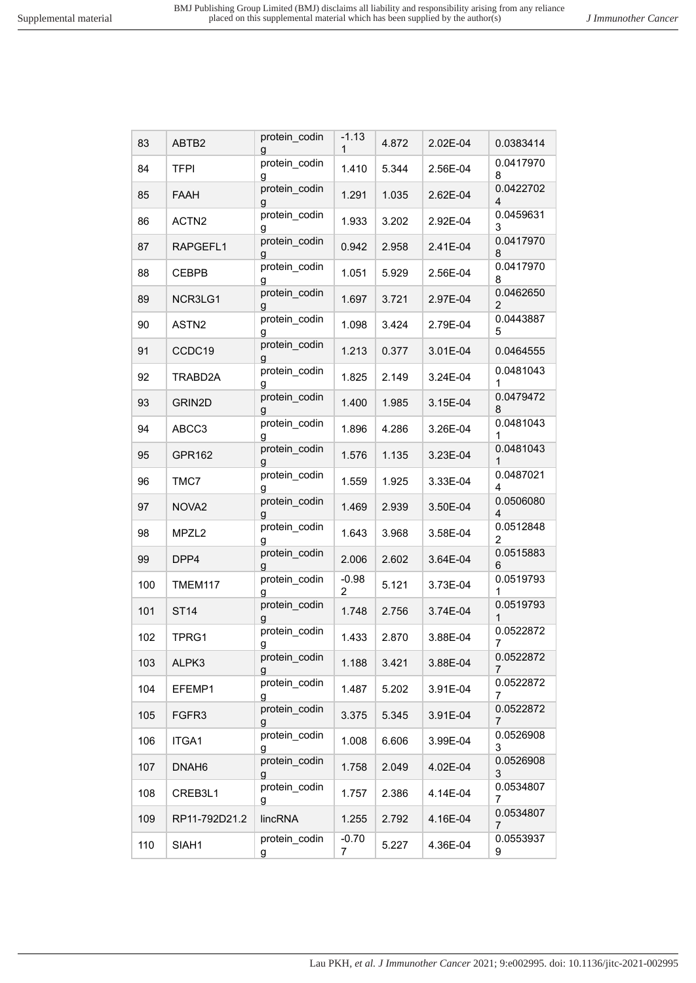Lau PKH*, et al. J Immunother Cancer* 2021; 9:e002995. doi: 10.1136/jitc-2021-002995

| 83  | ABTB2             | protein codin<br>q | -1.13<br>1                | 4.872 | 2.02E-04 | 0.0383414                   |
|-----|-------------------|--------------------|---------------------------|-------|----------|-----------------------------|
| 84  | <b>TFPI</b>       | protein_codin<br>g | 1.410                     | 5.344 | 2.56E-04 | 0.0417970<br>8              |
| 85  | FAAH              | protein_codin<br>g | 1.291                     | 1.035 | 2.62E-04 | 0.0422702<br>$\overline{4}$ |
| 86  | ACTN <sub>2</sub> | protein_codin<br>g | 1.933                     | 3.202 | 2.92E-04 | 0.0459631<br>3              |
| 87  | RAPGEFL1          | protein_codin<br>g | 0.942                     | 2.958 | 2.41E-04 | 0.0417970<br>8              |
| 88  | <b>CEBPB</b>      | protein_codin<br>g | 1.051                     | 5.929 | 2.56E-04 | 0.0417970<br>8              |
| 89  | NCR3LG1           | protein_codin<br>g | 1.697                     | 3.721 | 2.97E-04 | 0.0462650<br>$\overline{2}$ |
| 90  | ASTN <sub>2</sub> | protein_codin<br>g | 1.098                     | 3.424 | 2.79E-04 | 0.0443887<br>5              |
| 91  | CCDC19            | protein_codin<br>g | 1.213                     | 0.377 | 3.01E-04 | 0.0464555                   |
| 92  | TRABD2A           | protein_codin<br>g | 1.825                     | 2.149 | 3.24E-04 | 0.0481043<br>1              |
| 93  | GRIN2D            | protein_codin<br>g | 1.400                     | 1.985 | 3.15E-04 | 0.0479472<br>8              |
| 94  | ABCC3             | protein_codin<br>g | 1.896                     | 4.286 | 3.26E-04 | 0.0481043<br>1              |
| 95  | GPR162            | protein_codin<br>g | 1.576                     | 1.135 | 3.23E-04 | 0.0481043<br>1              |
| 96  | TMC7              | protein_codin<br>g | 1.559                     | 1.925 | 3.33E-04 | 0.0487021<br>4              |
| 97  | NOVA <sub>2</sub> | protein_codin<br>g | 1.469                     | 2.939 | 3.50E-04 | 0.0506080<br>4              |
| 98  | MPZL <sub>2</sub> | protein_codin<br>g | 1.643                     | 3.968 | 3.58E-04 | 0.0512848<br>$\overline{c}$ |
| 99  | DPP4              | protein_codin<br>g | 2.006                     | 2.602 | 3.64E-04 | 0.0515883<br>6              |
| 100 | TMEM117           | protein_codin<br>g | $-0.98$<br>$\overline{2}$ | 5.121 | 3.73E-04 | 0.0519793<br>1              |
| 101 | <b>ST14</b>       | protein_codin<br>g | 1.748                     | 2.756 | 3.74E-04 | 0.0519793<br>1              |
| 102 | TPRG1             | protein codin<br>g | 1.433                     | 2.870 | 3.88E-04 | 0.0522872<br>7              |
| 103 | ALPK3             | protein_codin<br>g | 1.188                     | 3.421 | 3.88E-04 | 0.0522872<br>7              |
| 104 | EFEMP1            | protein_codin<br>g | 1.487                     | 5.202 | 3.91E-04 | 0.0522872<br>7              |
| 105 | FGFR <sub>3</sub> | protein_codin<br>g | 3.375                     | 5.345 | 3.91E-04 | 0.0522872<br>7              |
| 106 | ITGA1             | protein_codin<br>g | 1.008                     | 6.606 | 3.99E-04 | 0.0526908<br>3              |
| 107 | DNAH <sub>6</sub> | protein_codin<br>g | 1.758                     | 2.049 | 4.02E-04 | 0.0526908<br>3              |
| 108 | CREB3L1           | protein_codin<br>g | 1.757                     | 2.386 | 4.14E-04 | 0.0534807<br>7              |
| 109 | RP11-792D21.2     | lincRNA            | 1.255                     | 2.792 | 4.16E-04 | 0.0534807<br>7              |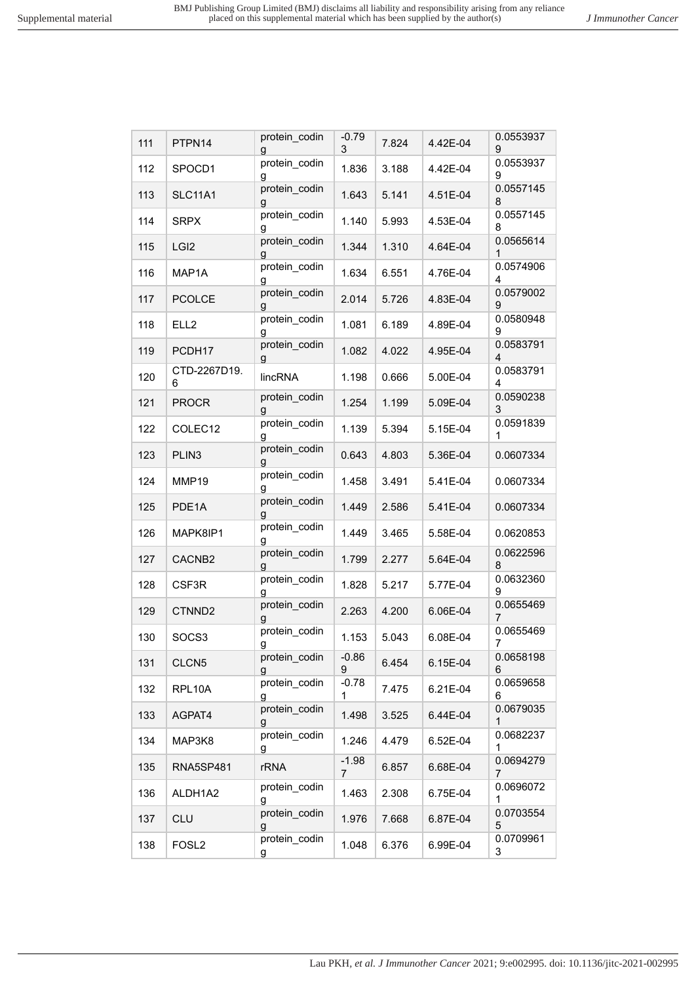| 111 | PTPN14             | protein_codin<br>g | $-0.79$<br>3 | 7.824 | 4.42E-04 | 0.0553937<br>9              |
|-----|--------------------|--------------------|--------------|-------|----------|-----------------------------|
| 112 | SPOCD1             | protein_codin<br>g | 1.836        | 3.188 | 4.42E-04 | 0.0553937<br>9              |
| 113 | <b>SLC11A1</b>     | protein_codin<br>g | 1.643        | 5.141 | 4.51E-04 | 0.0557145<br>8              |
| 114 | <b>SRPX</b>        | protein_codin<br>g | 1.140        | 5.993 | 4.53E-04 | 0.0557145<br>8              |
| 115 | LGI <sub>2</sub>   | protein_codin<br>g | 1.344        | 1.310 | 4.64E-04 | 0.0565614<br>1              |
| 116 | MAP1A              | protein_codin<br>g | 1.634        | 6.551 | 4.76E-04 | 0.0574906<br>4              |
| 117 | <b>PCOLCE</b>      | protein_codin<br>g | 2.014        | 5.726 | 4.83E-04 | 0.0579002<br>9              |
| 118 | ELL <sub>2</sub>   | protein_codin<br>g | 1.081        | 6.189 | 4.89E-04 | 0.0580948<br>9              |
| 119 | PCDH17             | protein_codin<br>g | 1.082        | 4.022 | 4.95E-04 | 0.0583791<br>$\overline{4}$ |
| 120 | CTD-2267D19.<br>6  | lincRNA            | 1.198        | 0.666 | 5.00E-04 | 0.0583791<br>4              |
| 121 | <b>PROCR</b>       | protein_codin<br>g | 1.254        | 1.199 | 5.09E-04 | 0.0590238<br>3              |
| 122 | COLEC12            | protein_codin<br>g | 1.139        | 5.394 | 5.15E-04 | 0.0591839<br>1              |
| 123 | PLIN <sub>3</sub>  | protein_codin<br>g | 0.643        | 4.803 | 5.36E-04 | 0.0607334                   |
| 124 | MMP19              | protein_codin<br>g | 1.458        | 3.491 | 5.41E-04 | 0.0607334                   |
| 125 | PDE1A              | protein_codin<br>g | 1.449        | 2.586 | 5.41E-04 | 0.0607334                   |
| 126 | MAPK8IP1           | protein_codin<br>g | 1.449        | 3.465 | 5.58E-04 | 0.0620853                   |
| 127 | CACNB2             | protein_codin<br>g | 1.799        | 2.277 | 5.64E-04 | 0.0622596<br>8              |
| 128 | CSF3R              | protein_codin<br>g | 1.828        | 5.217 | 5.77E-04 | 0.0632360<br>9              |
| 129 | CTNND <sub>2</sub> | protein_codin<br>g | 2.263        | 4.200 | 6.06E-04 | 0.0655469<br>$\overline{7}$ |
| 130 | SOCS3              | protein_codin<br>g | 1.153        | 5.043 | 6.08E-04 | 0.0655469<br>7              |
| 131 | CLCN <sub>5</sub>  | protein_codin<br>g | $-0.86$<br>9 | 6.454 | 6.15E-04 | 0.0658198<br>6              |
| 132 | RPL10A             | protein codin<br>g | $-0.78$<br>1 | 7.475 | 6.21E-04 | 0.0659658<br>6              |
| 133 | AGPAT4             | protein_codin<br>g | 1.498        | 3.525 | 6.44E-04 | 0.0679035<br>1              |
| 134 | MAP3K8             | protein codin<br>g | 1.246        | 4.479 | 6.52E-04 | 0.0682237<br>1              |
| 135 | <b>RNA5SP481</b>   | <b>rRNA</b>        | $-1.98$<br>7 | 6.857 | 6.68E-04 | 0.0694279<br>7              |
| 136 | ALDH1A2            | protein codin<br>g | 1.463        | 2.308 | 6.75E-04 | 0.0696072<br>$\mathbf{1}$   |
| 137 | <b>CLU</b>         | protein codin<br>g | 1.976        | 7.668 | 6.87E-04 | 0.0703554<br>5              |
| 138 | FOSL <sub>2</sub>  | protein codin<br>g | 1.048        | 6.376 | 6.99E-04 | 0.0709961<br>3              |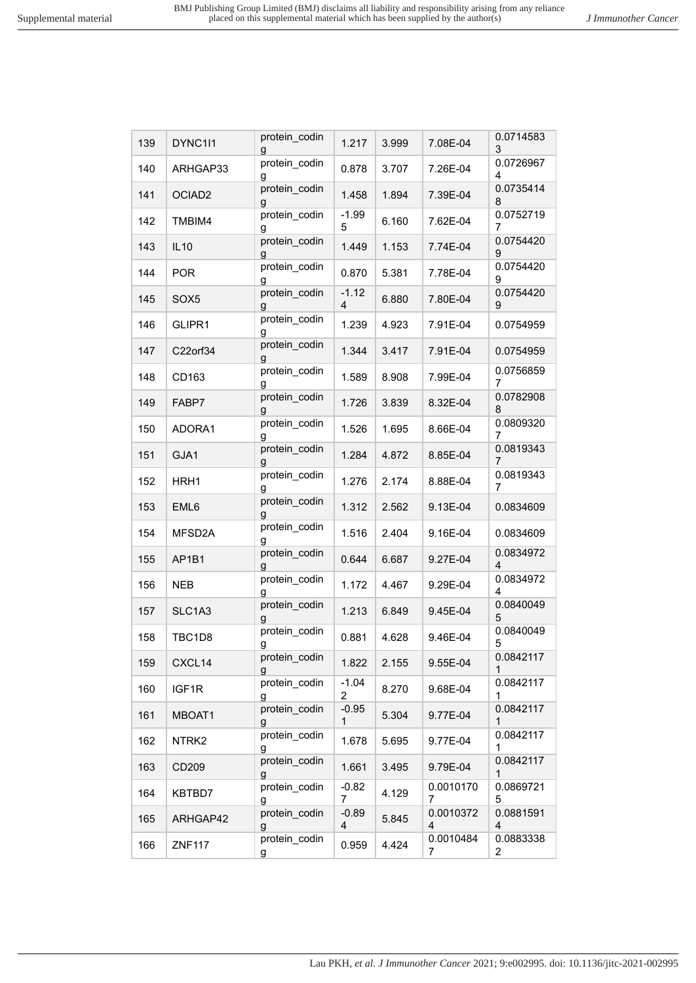| 139 | DYNC1I1            | protein_codin<br>g | 1.217        | 3.999 | 7.08E-04                    | 0.0714583<br>3              |
|-----|--------------------|--------------------|--------------|-------|-----------------------------|-----------------------------|
| 140 | ARHGAP33           | protein_codin<br>g | 0.878        | 3.707 | 7.26E-04                    | 0.0726967<br>4              |
| 141 | OCIAD <sub>2</sub> | protein_codin<br>g | 1.458        | 1.894 | 7.39E-04                    | 0.0735414<br>8              |
| 142 | TMBIM4             | protein_codin<br>g | $-1.99$<br>5 | 6.160 | 7.62E-04                    | 0.0752719<br>7              |
| 143 | <b>IL10</b>        | protein_codin<br>g | 1.449        | 1.153 | 7.74E-04                    | 0.0754420<br>9              |
| 144 | <b>POR</b>         | protein_codin<br>g | 0.870        | 5.381 | 7.78E-04                    | 0.0754420<br>9              |
| 145 | SOX <sub>5</sub>   | protein_codin<br>g | $-1.12$<br>4 | 6.880 | 7.80E-04                    | 0.0754420<br>9              |
| 146 | GLIPR1             | protein_codin<br>g | 1.239        | 4.923 | 7.91E-04                    | 0.0754959                   |
| 147 | C22orf34           | protein_codin<br>g | 1.344        | 3.417 | 7.91E-04                    | 0.0754959                   |
| 148 | CD163              | protein_codin<br>g | 1.589        | 8.908 | 7.99E-04                    | 0.0756859<br>7              |
| 149 | FABP7              | protein_codin<br>g | 1.726        | 3.839 | 8.32E-04                    | 0.0782908<br>8              |
| 150 | ADORA1             | protein_codin<br>g | 1.526        | 1.695 | 8.66E-04                    | 0.0809320<br>7              |
| 151 | GJA1               | protein_codin<br>g | 1.284        | 4.872 | 8.85E-04                    | 0.0819343<br>7              |
| 152 | HRH1               | protein_codin<br>g | 1.276        | 2.174 | 8.88E-04                    | 0.0819343<br>7              |
| 153 | EML6               | protein_codin<br>g | 1.312        | 2.562 | 9.13E-04                    | 0.0834609                   |
| 154 | MFSD2A             | protein_codin<br>g | 1.516        | 2.404 | 9.16E-04                    | 0.0834609                   |
| 155 | AP1B1              | protein_codin<br>g | 0.644        | 6.687 | 9.27E-04                    | 0.0834972<br>4              |
| 156 | <b>NEB</b>         | protein_codin<br>g | 1.172        | 4.467 | 9.29E-04                    | 0.0834972<br>4              |
| 157 | SLC1A3             | protein_codin<br>g | 1.213        | 6.849 | 9.45E-04                    | 0.0840049<br>5              |
| 158 | TBC1D8             | protein_codin<br>g | 0.881        | 4.628 | 9.46E-04                    | 0.0840049<br>5              |
| 159 | CXCL14             | protein_codin<br>g | 1.822        | 2.155 | 9.55E-04                    | 0.0842117<br>1              |
| 160 | IGF1R              | protein_codin<br>g | $-1.04$<br>2 | 8.270 | 9.68E-04                    | 0.0842117<br>1              |
| 161 | MBOAT1             | protein codin<br>g | $-0.95$<br>1 | 5.304 | 9.77E-04                    | 0.0842117<br>1              |
| 162 | NTRK <sub>2</sub>  | protein codin<br>g | 1.678        | 5.695 | 9.77E-04                    | 0.0842117<br>1              |
| 163 | CD209              | protein_codin<br>g | 1.661        | 3.495 | 9.79E-04                    | 0.0842117<br>1              |
| 164 | KBTBD7             | protein_codin<br>g | $-0.82$<br>7 | 4.129 | 0.0010170<br>7              | 0.0869721<br>5              |
| 165 | ARHGAP42           | protein_codin<br>g | $-0.89$<br>4 | 5.845 | 0.0010372<br>$\overline{4}$ | 0.0881591<br>4              |
| 166 | <b>ZNF117</b>      | protein_codin<br>g | 0.959        | 4.424 | 0.0010484<br>7              | 0.0883338<br>$\overline{2}$ |
|     |                    |                    |              |       |                             |                             |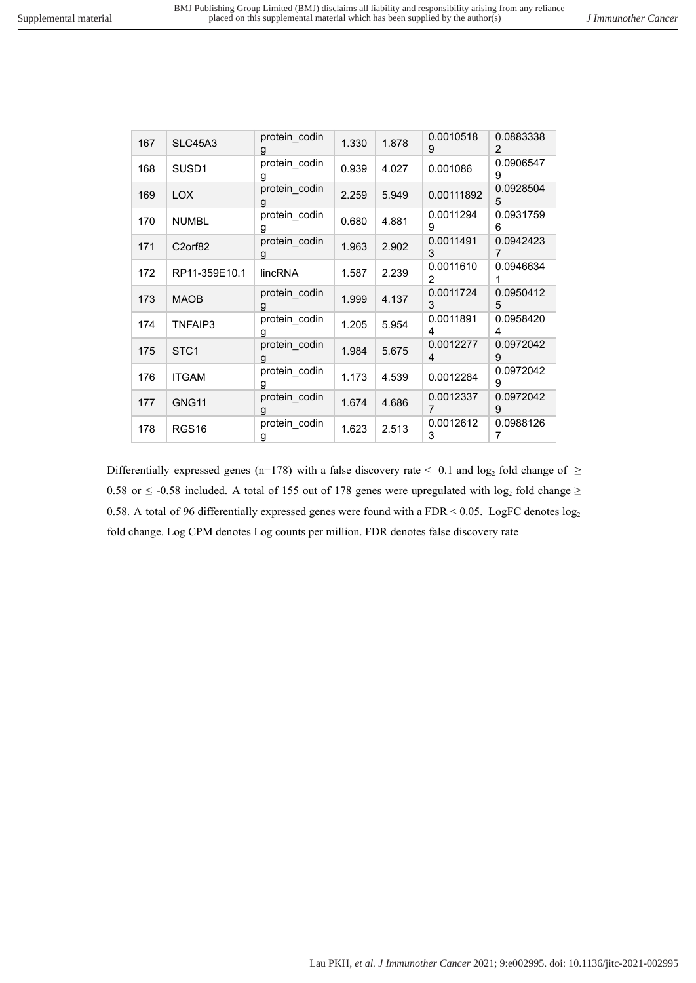| 167 | <b>SLC45A3</b>       | protein_codin<br>g | 1.330 | 1.878 | 0.0010518<br>9 | 0.0883338<br>2 |
|-----|----------------------|--------------------|-------|-------|----------------|----------------|
| 168 | SUSD <sub>1</sub>    | protein codin<br>g | 0.939 | 4.027 | 0.001086       | 0.0906547<br>9 |
| 169 | LOX.                 | protein codin<br>g | 2.259 | 5.949 | 0.00111892     | 0.0928504<br>5 |
| 170 | <b>NUMBL</b>         | protein codin<br>g | 0.680 | 4.881 | 0.0011294<br>9 | 0.0931759<br>6 |
| 171 | C <sub>2</sub> orf82 | protein codin<br>g | 1.963 | 2.902 | 0.0011491<br>3 | 0.0942423      |
| 172 | RP11-359E10.1        | lincRNA            | 1.587 | 2.239 | 0.0011610<br>2 | 0.0946634      |
| 173 | <b>MAOB</b>          | protein_codin<br>g | 1.999 | 4.137 | 0.0011724<br>3 | 0.0950412<br>5 |
| 174 | TNFAIP3              | protein codin<br>g | 1.205 | 5.954 | 0.0011891<br>4 | 0.0958420<br>4 |
| 175 | STC <sub>1</sub>     | protein codin<br>g | 1.984 | 5.675 | 0.0012277<br>4 | 0.0972042<br>9 |
| 176 | <b>ITGAM</b>         | protein_codin<br>g | 1.173 | 4.539 | 0.0012284      | 0.0972042<br>9 |
| 177 | GNG11                | protein codin<br>g | 1.674 | 4.686 | 0.0012337<br>7 | 0.0972042<br>9 |
| 178 | RGS <sub>16</sub>    | protein codin<br>g | 1.623 | 2.513 | 0.0012612<br>3 | 0.0988126<br>7 |

Differentially expressed genes (n=178) with a false discovery rate  $\leq 0.1$  and log<sub>2</sub> fold change of  $\geq$ 0.58 or  $\leq$  -0.58 included. A total of 155 out of 178 genes were upregulated with log<sub>2</sub> fold change  $\geq$ 0.58. A total of 96 differentially expressed genes were found with a FDR < 0.05. LogFC denotes  $log_2$ fold change. Log CPM denotes Log counts per million. FDR denotes false discovery rate